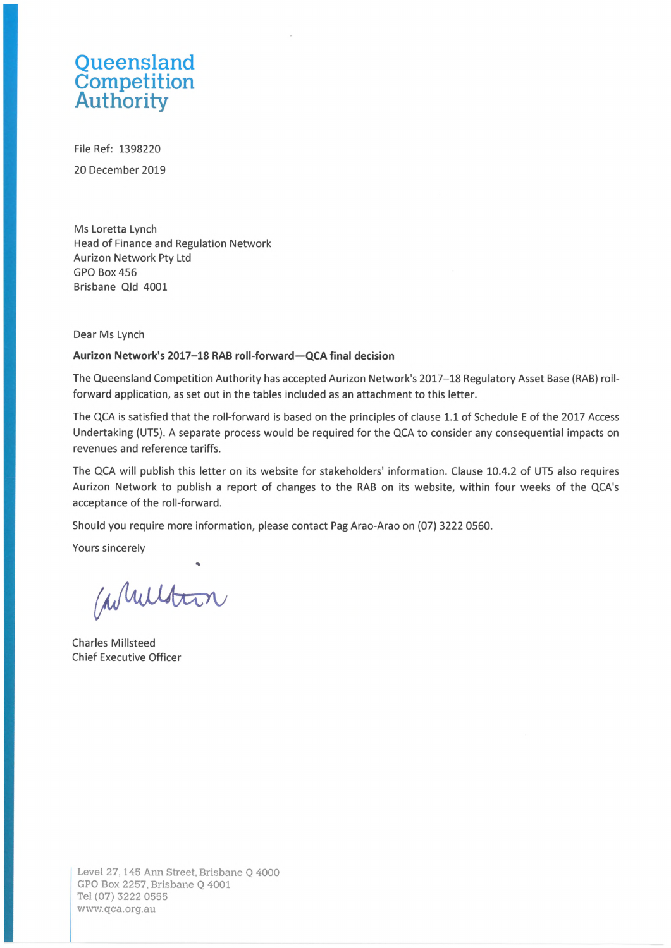## **Queensland** Competition Authority

File Ref: 1398220 20 December 2019

Ms Loretta Lynch Head of Finance and Regulation Network Aurizon Network Pty Ltd GPO Box 456 Brisbane Qld 4001

Dear Ms Lynch

## **Aurizon Network's 2017-18 RAB roll-forward—QCA final decision**

The Queensland Competition Authority has accepted Aurizon Network's 2017-18 Regulatory Asset Base (RAB) rollforward application, as set out in the tables included as an attachment to this letter.

The QCA is satisfied that the roll-forward is based on the principles of clause 1.1 of Schedule <sup>E</sup> of the 2017 Access Undertaking (UT5). A separate process would be required for the QCA to consider any consequential impacts on revenues and reference tariffs.

The QCA will publish this letter on its website for stakeholders' information. Clause 10.4.2 of UT5 also requires Aurizon Network to publish <sup>a</sup> report of changes to the RAB on its website, within four weeks of the QCA's acceptance of the roll-forward.

Should you require more information, please contact Pag Arao-Arao on (07) 3222 0560.

Yours sincerely

Whilston

Charles Millsteed Chief Executive Officer